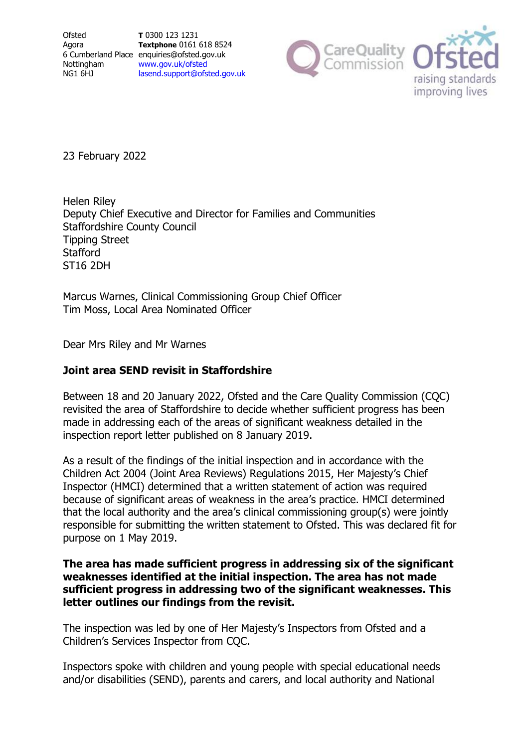Ofsted Agora Nottingham NG1 6HJ

6 Cumberland Place enquiries@ofsted.gov.uk **T** 0300 123 1231 **Textphone** 0161 618 8524 [www.gov.uk/ofsted](http://www.gov.uk/ofsted) [lasend.support@ofsted.gov.uk](mailto:lasend.support@ofsted.gov.ukvvvvv.uk)



23 February 2022

Helen Riley Deputy Chief Executive and Director for Families and Communities Staffordshire County Council Tipping Street **Stafford** ST16 2DH

Marcus Warnes, Clinical Commissioning Group Chief Officer Tim Moss, Local Area Nominated Officer

Dear Mrs Riley and Mr Warnes

### **Joint area SEND revisit in Staffordshire**

Between 18 and 20 January 2022, Ofsted and the Care Quality Commission (CQC) revisited the area of Staffordshire to decide whether sufficient progress has been made in addressing each of the areas of significant weakness detailed in the inspection report letter published on 8 January 2019.

As a result of the findings of the initial inspection and in accordance with the Children Act 2004 (Joint Area Reviews) Regulations 2015, Her Majesty's Chief Inspector (HMCI) determined that a written statement of action was required because of significant areas of weakness in the area's practice. HMCI determined that the local authority and the area's clinical commissioning group(s) were jointly responsible for submitting the written statement to Ofsted. This was declared fit for purpose on 1 May 2019.

### **The area has made sufficient progress in addressing six of the significant weaknesses identified at the initial inspection. The area has not made sufficient progress in addressing two of the significant weaknesses. This letter outlines our findings from the revisit.**

The inspection was led by one of Her Majesty's Inspectors from Ofsted and a Children's Services Inspector from CQC.

Inspectors spoke with children and young people with special educational needs and/or disabilities (SEND), parents and carers, and local authority and National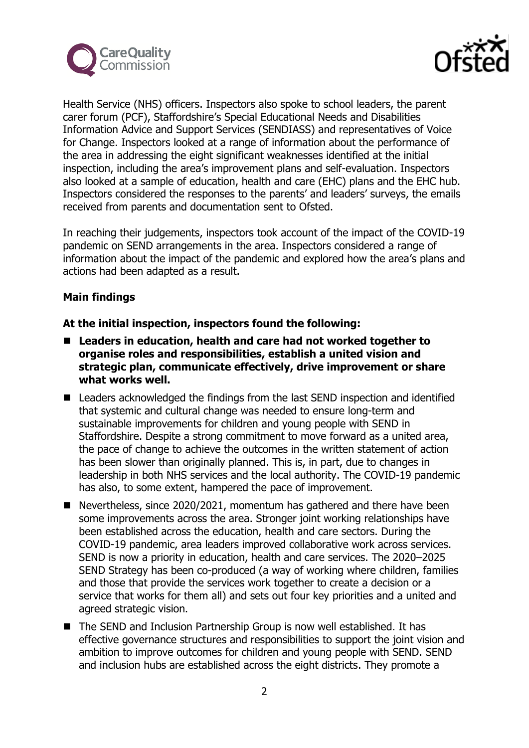



Health Service (NHS) officers. Inspectors also spoke to school leaders, the parent carer forum (PCF), Staffordshire's Special Educational Needs and Disabilities Information Advice and Support Services (SENDIASS) and representatives of Voice for Change. Inspectors looked at a range of information about the performance of the area in addressing the eight significant weaknesses identified at the initial inspection, including the area's improvement plans and self-evaluation. Inspectors also looked at a sample of education, health and care (EHC) plans and the EHC hub. Inspectors considered the responses to the parents' and leaders' surveys, the emails received from parents and documentation sent to Ofsted.

In reaching their judgements, inspectors took account of the impact of the COVID-19 pandemic on SEND arrangements in the area. Inspectors considered a range of information about the impact of the pandemic and explored how the area's plans and actions had been adapted as a result.

### **Main findings**

- Leaders in education, health and care had not worked together to **organise roles and responsibilities, establish a united vision and strategic plan, communicate effectively, drive improvement or share what works well.**
- Leaders acknowledged the findings from the last SEND inspection and identified that systemic and cultural change was needed to ensure long-term and sustainable improvements for children and young people with SEND in Staffordshire. Despite a strong commitment to move forward as a united area, the pace of change to achieve the outcomes in the written statement of action has been slower than originally planned. This is, in part, due to changes in leadership in both NHS services and the local authority. The COVID-19 pandemic has also, to some extent, hampered the pace of improvement.
- Nevertheless, since 2020/2021, momentum has gathered and there have been some improvements across the area. Stronger joint working relationships have been established across the education, health and care sectors. During the COVID-19 pandemic, area leaders improved collaborative work across services. SEND is now a priority in education, health and care services. The 2020–2025 SEND Strategy has been co-produced (a way of working where children, families and those that provide the services work together to create a decision or a service that works for them all) and sets out four key priorities and a united and agreed strategic vision.
- The SEND and Inclusion Partnership Group is now well established. It has effective governance structures and responsibilities to support the joint vision and ambition to improve outcomes for children and young people with SEND. SEND and inclusion hubs are established across the eight districts. They promote a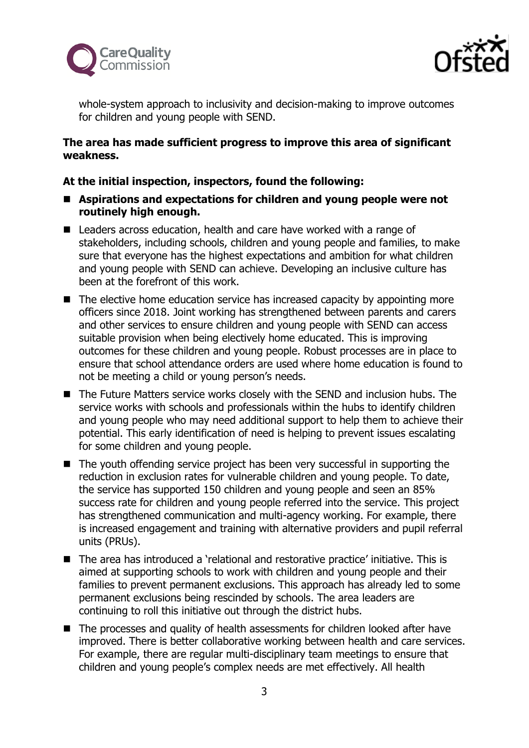



whole-system approach to inclusivity and decision-making to improve outcomes for children and young people with SEND.

### **The area has made sufficient progress to improve this area of significant weakness.**

- Aspirations and expectations for children and young people were not **routinely high enough.**
- Leaders across education, health and care have worked with a range of stakeholders, including schools, children and young people and families, to make sure that everyone has the highest expectations and ambition for what children and young people with SEND can achieve. Developing an inclusive culture has been at the forefront of this work.
- The elective home education service has increased capacity by appointing more officers since 2018. Joint working has strengthened between parents and carers and other services to ensure children and young people with SEND can access suitable provision when being electively home educated. This is improving outcomes for these children and young people. Robust processes are in place to ensure that school attendance orders are used where home education is found to not be meeting a child or young person's needs.
- The Future Matters service works closely with the SEND and inclusion hubs. The service works with schools and professionals within the hubs to identify children and young people who may need additional support to help them to achieve their potential. This early identification of need is helping to prevent issues escalating for some children and young people.
- The youth offending service project has been very successful in supporting the reduction in exclusion rates for vulnerable children and young people. To date, the service has supported 150 children and young people and seen an 85% success rate for children and young people referred into the service. This project has strengthened communication and multi-agency working. For example, there is increased engagement and training with alternative providers and pupil referral units (PRUs).
- The area has introduced a 'relational and restorative practice' initiative. This is aimed at supporting schools to work with children and young people and their families to prevent permanent exclusions. This approach has already led to some permanent exclusions being rescinded by schools. The area leaders are continuing to roll this initiative out through the district hubs.
- The processes and quality of health assessments for children looked after have improved. There is better collaborative working between health and care services. For example, there are regular multi-disciplinary team meetings to ensure that children and young people's complex needs are met effectively. All health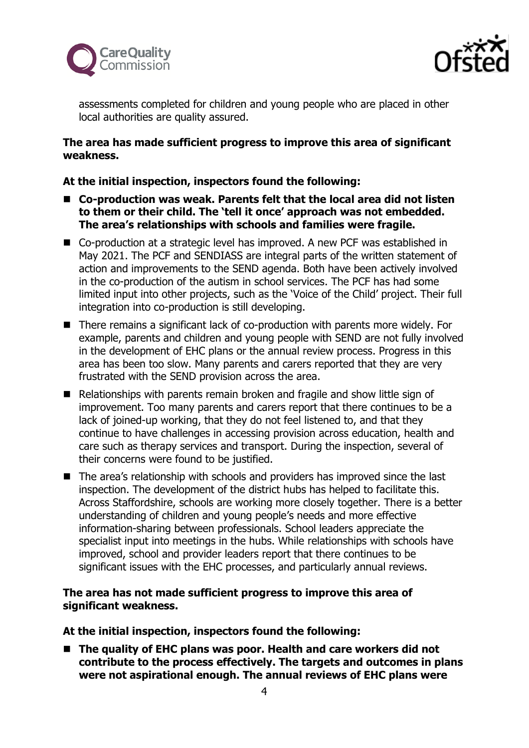



assessments completed for children and young people who are placed in other local authorities are quality assured.

### **The area has made sufficient progress to improve this area of significant weakness.**

### **At the initial inspection, inspectors found the following:**

- Co-production was weak. Parents felt that the local area did not listen **to them or their child. The 'tell it once' approach was not embedded. The area's relationships with schools and families were fragile.**
- Co-production at a strategic level has improved. A new PCF was established in May 2021. The PCF and SENDIASS are integral parts of the written statement of action and improvements to the SEND agenda. Both have been actively involved in the co-production of the autism in school services. The PCF has had some limited input into other projects, such as the 'Voice of the Child' project. Their full integration into co-production is still developing.
- There remains a significant lack of co-production with parents more widely. For example, parents and children and young people with SEND are not fully involved in the development of EHC plans or the annual review process. Progress in this area has been too slow. Many parents and carers reported that they are very frustrated with the SEND provision across the area.
- Relationships with parents remain broken and fragile and show little sign of improvement. Too many parents and carers report that there continues to be a lack of joined-up working, that they do not feel listened to, and that they continue to have challenges in accessing provision across education, health and care such as therapy services and transport. During the inspection, several of their concerns were found to be justified.
- The area's relationship with schools and providers has improved since the last inspection. The development of the district hubs has helped to facilitate this. Across Staffordshire, schools are working more closely together. There is a better understanding of children and young people's needs and more effective information-sharing between professionals. School leaders appreciate the specialist input into meetings in the hubs. While relationships with schools have improved, school and provider leaders report that there continues to be significant issues with the EHC processes, and particularly annual reviews.

### **The area has not made sufficient progress to improve this area of significant weakness.**

**At the initial inspection, inspectors found the following:**

■ The quality of EHC plans was poor. Health and care workers did not **contribute to the process effectively. The targets and outcomes in plans were not aspirational enough. The annual reviews of EHC plans were**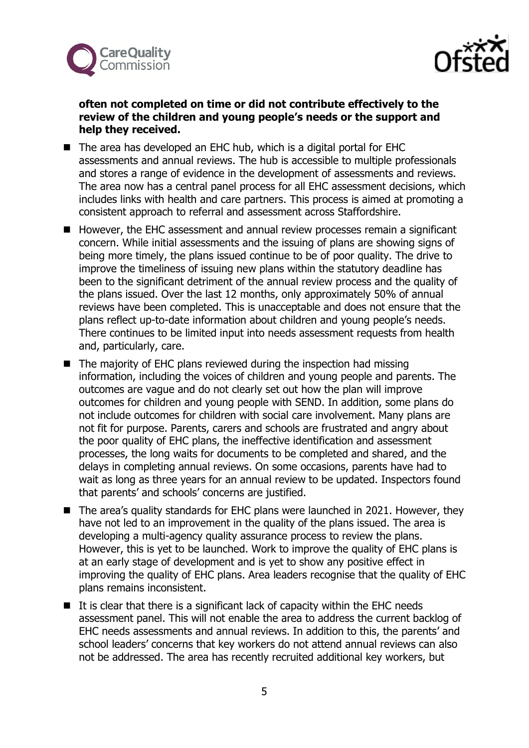



### **often not completed on time or did not contribute effectively to the review of the children and young people's needs or the support and help they received.**

- The area has developed an EHC hub, which is a digital portal for EHC assessments and annual reviews. The hub is accessible to multiple professionals and stores a range of evidence in the development of assessments and reviews. The area now has a central panel process for all EHC assessment decisions, which includes links with health and care partners. This process is aimed at promoting a consistent approach to referral and assessment across Staffordshire.
- However, the EHC assessment and annual review processes remain a significant concern. While initial assessments and the issuing of plans are showing signs of being more timely, the plans issued continue to be of poor quality. The drive to improve the timeliness of issuing new plans within the statutory deadline has been to the significant detriment of the annual review process and the quality of the plans issued. Over the last 12 months, only approximately 50% of annual reviews have been completed. This is unacceptable and does not ensure that the plans reflect up-to-date information about children and young people's needs. There continues to be limited input into needs assessment requests from health and, particularly, care.
- The majority of EHC plans reviewed during the inspection had missing information, including the voices of children and young people and parents. The outcomes are vague and do not clearly set out how the plan will improve outcomes for children and young people with SEND. In addition, some plans do not include outcomes for children with social care involvement. Many plans are not fit for purpose. Parents, carers and schools are frustrated and angry about the poor quality of EHC plans, the ineffective identification and assessment processes, the long waits for documents to be completed and shared, and the delays in completing annual reviews. On some occasions, parents have had to wait as long as three years for an annual review to be updated. Inspectors found that parents' and schools' concerns are justified.
- The area's quality standards for EHC plans were launched in 2021. However, they have not led to an improvement in the quality of the plans issued. The area is developing a multi-agency quality assurance process to review the plans. However, this is yet to be launched. Work to improve the quality of EHC plans is at an early stage of development and is yet to show any positive effect in improving the quality of EHC plans. Area leaders recognise that the quality of EHC plans remains inconsistent.
- It is clear that there is a significant lack of capacity within the EHC needs assessment panel. This will not enable the area to address the current backlog of EHC needs assessments and annual reviews. In addition to this, the parents' and school leaders' concerns that key workers do not attend annual reviews can also not be addressed. The area has recently recruited additional key workers, but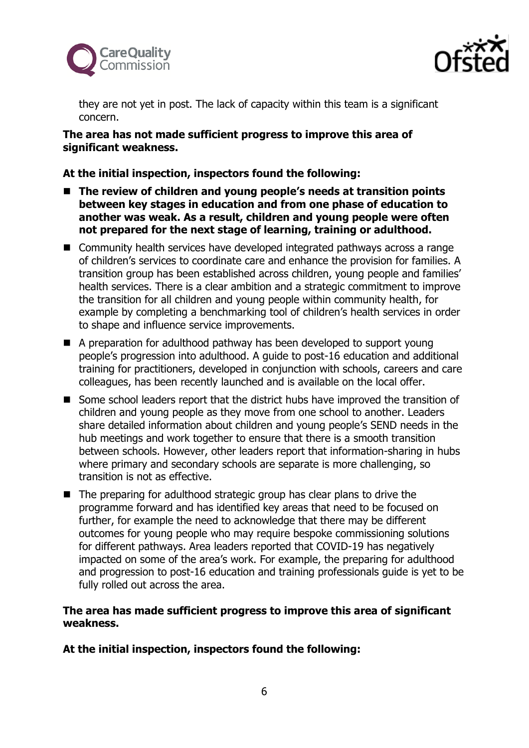



they are not yet in post. The lack of capacity within this team is a significant concern.

### **The area has not made sufficient progress to improve this area of significant weakness.**

# **At the initial inspection, inspectors found the following:**

- The review of children and young people's needs at transition points **between key stages in education and from one phase of education to another was weak. As a result, children and young people were often not prepared for the next stage of learning, training or adulthood.**
- Community health services have developed integrated pathways across a range of children's services to coordinate care and enhance the provision for families. A transition group has been established across children, young people and families' health services. There is a clear ambition and a strategic commitment to improve the transition for all children and young people within community health, for example by completing a benchmarking tool of children's health services in order to shape and influence service improvements.
- A preparation for adulthood pathway has been developed to support young people's progression into adulthood. A guide to post-16 education and additional training for practitioners, developed in conjunction with schools, careers and care colleagues, has been recently launched and is available on the local offer.
- Some school leaders report that the district hubs have improved the transition of children and young people as they move from one school to another. Leaders share detailed information about children and young people's SEND needs in the hub meetings and work together to ensure that there is a smooth transition between schools. However, other leaders report that information-sharing in hubs where primary and secondary schools are separate is more challenging, so transition is not as effective.
- The preparing for adulthood strategic group has clear plans to drive the programme forward and has identified key areas that need to be focused on further, for example the need to acknowledge that there may be different outcomes for young people who may require bespoke commissioning solutions for different pathways. Area leaders reported that COVID-19 has negatively impacted on some of the area's work. For example, the preparing for adulthood and progression to post-16 education and training professionals guide is yet to be fully rolled out across the area.

# **The area has made sufficient progress to improve this area of significant weakness.**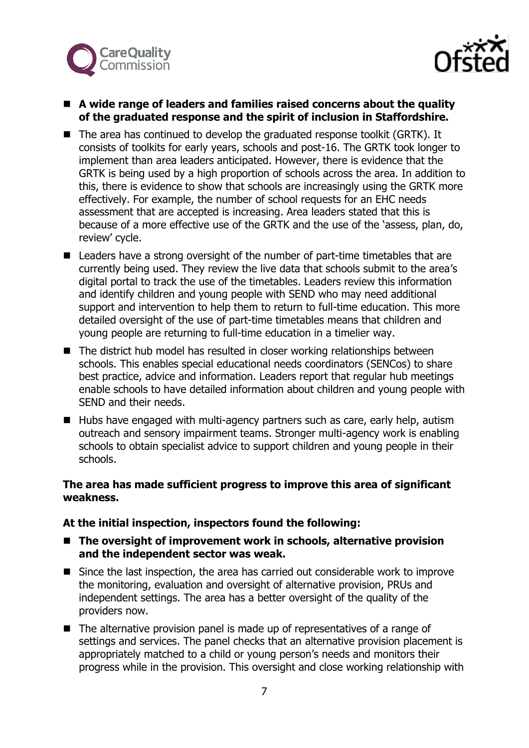



### ■ A wide range of leaders and families raised concerns about the quality **of the graduated response and the spirit of inclusion in Staffordshire.**

- The area has continued to develop the graduated response toolkit (GRTK). It consists of toolkits for early years, schools and post-16. The GRTK took longer to implement than area leaders anticipated. However, there is evidence that the GRTK is being used by a high proportion of schools across the area. In addition to this, there is evidence to show that schools are increasingly using the GRTK more effectively. For example, the number of school requests for an EHC needs assessment that are accepted is increasing. Area leaders stated that this is because of a more effective use of the GRTK and the use of the 'assess, plan, do, review' cycle.
- Leaders have a strong oversight of the number of part-time timetables that are currently being used. They review the live data that schools submit to the area's digital portal to track the use of the timetables. Leaders review this information and identify children and young people with SEND who may need additional support and intervention to help them to return to full-time education. This more detailed oversight of the use of part-time timetables means that children and young people are returning to full-time education in a timelier way.
- The district hub model has resulted in closer working relationships between schools. This enables special educational needs coordinators (SENCos) to share best practice, advice and information. Leaders report that regular hub meetings enable schools to have detailed information about children and young people with SEND and their needs.
- Hubs have engaged with multi-agency partners such as care, early help, autism outreach and sensory impairment teams. Stronger multi-agency work is enabling schools to obtain specialist advice to support children and young people in their schools.

# **The area has made sufficient progress to improve this area of significant weakness.**

- The oversight of improvement work in schools, alternative provision **and the independent sector was weak.**
- Since the last inspection, the area has carried out considerable work to improve the monitoring, evaluation and oversight of alternative provision, PRUs and independent settings. The area has a better oversight of the quality of the providers now.
- The alternative provision panel is made up of representatives of a range of settings and services. The panel checks that an alternative provision placement is appropriately matched to a child or young person's needs and monitors their progress while in the provision. This oversight and close working relationship with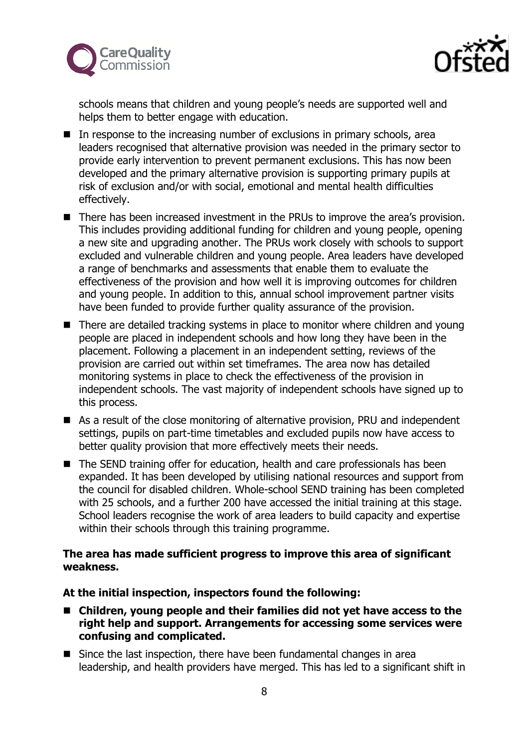



schools means that children and young people's needs are supported well and helps them to better engage with education.

- In response to the increasing number of exclusions in primary schools, area leaders recognised that alternative provision was needed in the primary sector to provide early intervention to prevent permanent exclusions. This has now been developed and the primary alternative provision is supporting primary pupils at risk of exclusion and/or with social, emotional and mental health difficulties effectively.
- There has been increased investment in the PRUs to improve the area's provision. This includes providing additional funding for children and young people, opening a new site and upgrading another. The PRUs work closely with schools to support excluded and vulnerable children and young people. Area leaders have developed a range of benchmarks and assessments that enable them to evaluate the effectiveness of the provision and how well it is improving outcomes for children and young people. In addition to this, annual school improvement partner visits have been funded to provide further quality assurance of the provision.
- There are detailed tracking systems in place to monitor where children and young people are placed in independent schools and how long they have been in the placement. Following a placement in an independent setting, reviews of the provision are carried out within set timeframes. The area now has detailed monitoring systems in place to check the effectiveness of the provision in independent schools. The vast majority of independent schools have signed up to this process.
- As a result of the close monitoring of alternative provision, PRU and independent settings, pupils on part-time timetables and excluded pupils now have access to better quality provision that more effectively meets their needs.
- The SEND training offer for education, health and care professionals has been expanded. It has been developed by utilising national resources and support from the council for disabled children. Whole-school SEND training has been completed with 25 schools, and a further 200 have accessed the initial training at this stage. School leaders recognise the work of area leaders to build capacity and expertise within their schools through this training programme.

### **The area has made sufficient progress to improve this area of significant weakness.**

- Children, young people and their families did not yet have access to the **right help and support. Arrangements for accessing some services were confusing and complicated.**
- Since the last inspection, there have been fundamental changes in area leadership, and health providers have merged. This has led to a significant shift in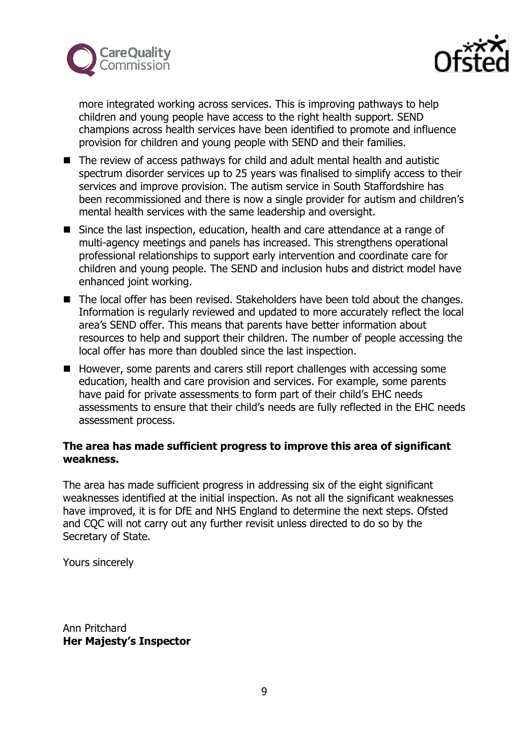



more integrated working across services. This is improving pathways to help children and young people have access to the right health support. SEND champions across health services have been identified to promote and influence provision for children and young people with SEND and their families.

- The review of access pathways for child and adult mental health and autistic spectrum disorder services up to 25 years was finalised to simplify access to their services and improve provision. The autism service in South Staffordshire has been recommissioned and there is now a single provider for autism and children's mental health services with the same leadership and oversight.
- Since the last inspection, education, health and care attendance at a range of multi-agency meetings and panels has increased. This strengthens operational professional relationships to support early intervention and coordinate care for children and young people. The SEND and inclusion hubs and district model have enhanced joint working.
- The local offer has been revised. Stakeholders have been told about the changes. Information is regularly reviewed and updated to more accurately reflect the local area's SEND offer. This means that parents have better information about resources to help and support their children. The number of people accessing the local offer has more than doubled since the last inspection.
- However, some parents and carers still report challenges with accessing some education, health and care provision and services. For example, some parents have paid for private assessments to form part of their child's EHC needs assessments to ensure that their child's needs are fully reflected in the EHC needs assessment process.

# **The area has made sufficient progress to improve this area of significant weakness.**

The area has made sufficient progress in addressing six of the eight significant weaknesses identified at the initial inspection. As not all the significant weaknesses have improved, it is for DfE and NHS England to determine the next steps. Ofsted and CQC will not carry out any further revisit unless directed to do so by the Secretary of State.

Yours sincerely

Ann Pritchard **Her Majesty's Inspector**